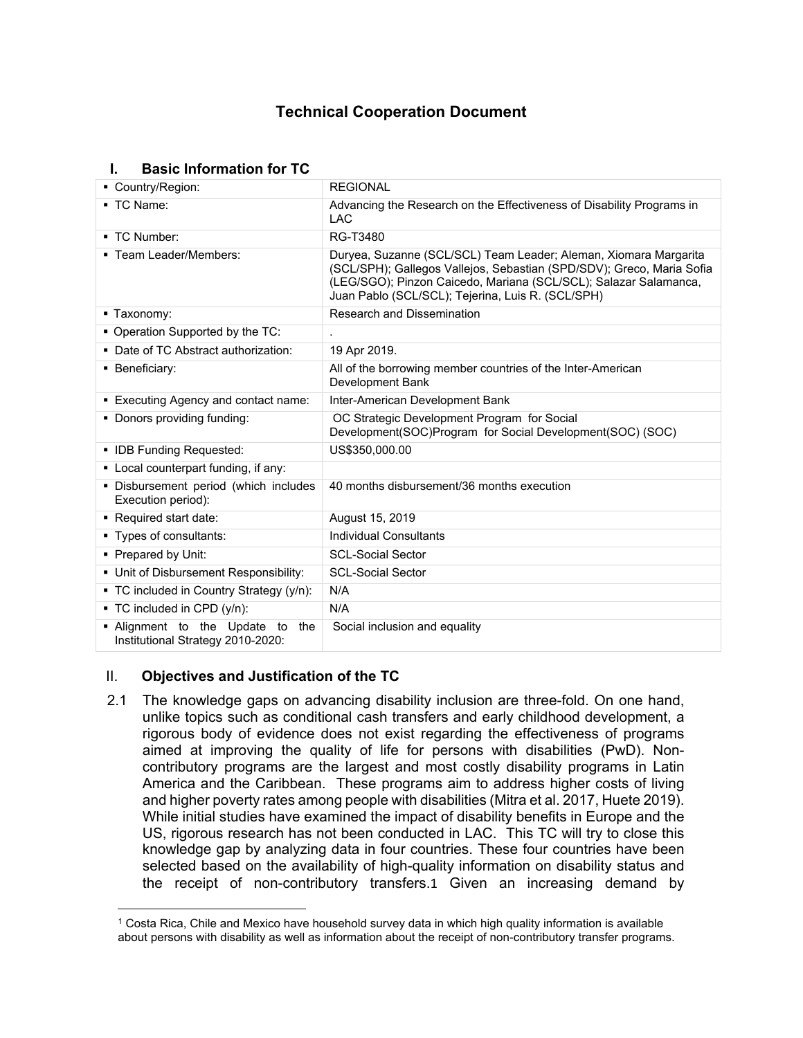# **Technical Cooperation Document**

## **I. Basic Information for TC**

| • Country/Region:                                                     | <b>REGIONAL</b>                                                                                                                                                                                                                                                    |  |  |
|-----------------------------------------------------------------------|--------------------------------------------------------------------------------------------------------------------------------------------------------------------------------------------------------------------------------------------------------------------|--|--|
| ■ TC Name:                                                            | Advancing the Research on the Effectiveness of Disability Programs in<br><b>LAC</b>                                                                                                                                                                                |  |  |
| ■ TC Number:                                                          | RG-T3480                                                                                                                                                                                                                                                           |  |  |
| ■ Team Leader/Members:                                                | Duryea, Suzanne (SCL/SCL) Team Leader; Aleman, Xiomara Margarita<br>(SCL/SPH); Gallegos Vallejos, Sebastian (SPD/SDV); Greco, Maria Sofia<br>(LEG/SGO); Pinzon Caicedo, Mariana (SCL/SCL); Salazar Salamanca,<br>Juan Pablo (SCL/SCL); Tejerina, Luis R. (SCL/SPH) |  |  |
| ■ Taxonomy:                                                           | <b>Research and Dissemination</b>                                                                                                                                                                                                                                  |  |  |
| • Operation Supported by the TC:                                      |                                                                                                                                                                                                                                                                    |  |  |
| • Date of TC Abstract authorization:                                  | 19 Apr 2019.                                                                                                                                                                                                                                                       |  |  |
| • Beneficiary:                                                        | All of the borrowing member countries of the Inter-American<br>Development Bank                                                                                                                                                                                    |  |  |
| ■ Executing Agency and contact name:                                  | Inter-American Development Bank                                                                                                                                                                                                                                    |  |  |
| • Donors providing funding:                                           | OC Strategic Development Program for Social<br>Development(SOC)Program for Social Development(SOC) (SOC)                                                                                                                                                           |  |  |
| • IDB Funding Requested:                                              | US\$350,000.00                                                                                                                                                                                                                                                     |  |  |
| • Local counterpart funding, if any:                                  |                                                                                                                                                                                                                                                                    |  |  |
| · Disbursement period (which includes<br>Execution period):           | 40 months disbursement/36 months execution                                                                                                                                                                                                                         |  |  |
| ■ Required start date:                                                | August 15, 2019                                                                                                                                                                                                                                                    |  |  |
| ■ Types of consultants:                                               | <b>Individual Consultants</b>                                                                                                                                                                                                                                      |  |  |
| • Prepared by Unit:                                                   | <b>SCL-Social Sector</b>                                                                                                                                                                                                                                           |  |  |
| • Unit of Disbursement Responsibility:                                | <b>SCL-Social Sector</b>                                                                                                                                                                                                                                           |  |  |
| • TC included in Country Strategy (y/n):                              | N/A                                                                                                                                                                                                                                                                |  |  |
| ■ TC included in CPD (y/n):                                           | N/A                                                                                                                                                                                                                                                                |  |  |
| . Alignment to the Update to the<br>Institutional Strategy 2010-2020: | Social inclusion and equality                                                                                                                                                                                                                                      |  |  |

# II. **Objectives and Justification of the TC**

2.1 The knowledge gaps on advancing disability inclusion are three-fold. On one hand, unlike topics such as conditional cash transfers and early childhood development, a rigorous body of evidence does not exist regarding the effectiveness of programs aimed at improving the quality of life for persons with disabilities (PwD). Noncontributory programs are the largest and most costly disability programs in Latin America and the Caribbean. These programs aim to address higher costs of living and higher poverty rates among people with disabilities (Mitra et al. 2017, Huete 2019). While initial studies have examined the impact of disability benefits in Europe and the US, rigorous research has not been conducted in LAC. This TC will try to close this knowledge gap by analyzing data in four countries. These four countries have been selected based on the availability of high-quality information on disability status and the receipt of non-contributory transfers.1 Given an increasing demand by

<sup>1</sup> Costa Rica, Chile and Mexico have household survey data in which high quality information is available about persons with disability as well as information about the receipt of non-contributory transfer programs.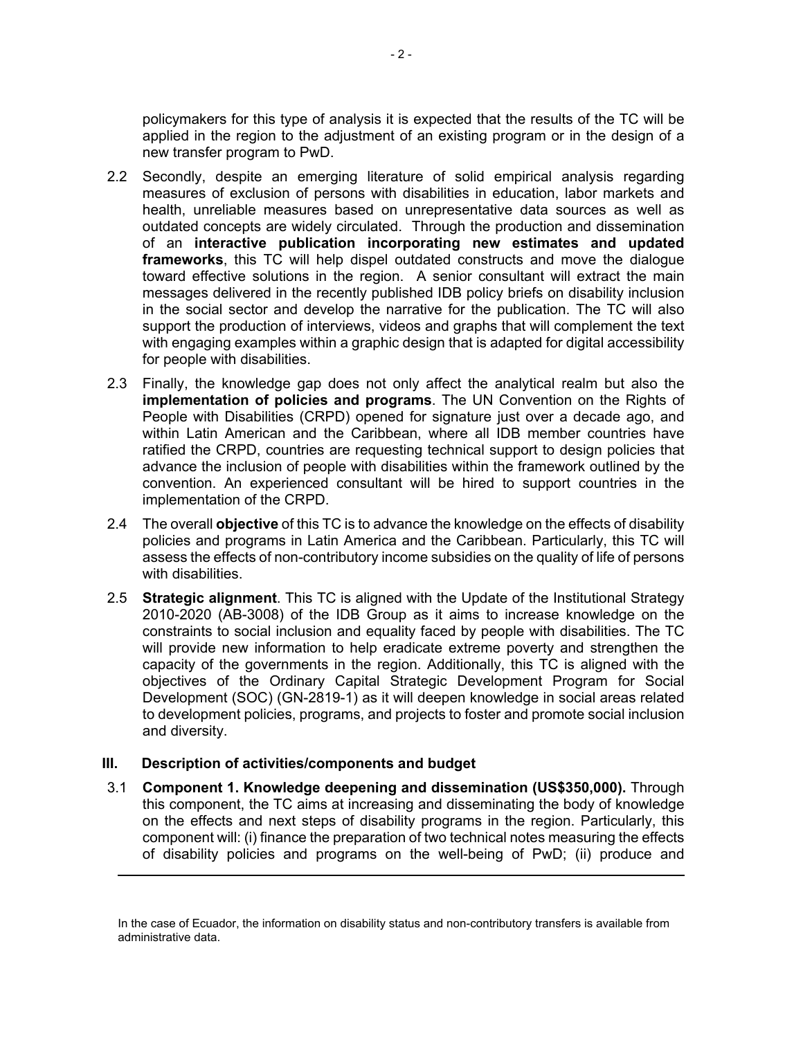policymakers for this type of analysis it is expected that the results of the TC will be applied in the region to the adjustment of an existing program or in the design of a new transfer program to PwD.

- 2.2 Secondly, despite an emerging literature of solid empirical analysis regarding measures of exclusion of persons with disabilities in education, labor markets and health, unreliable measures based on unrepresentative data sources as well as outdated concepts are widely circulated. Through the production and dissemination of an **interactive publication incorporating new estimates and updated frameworks**, this TC will help dispel outdated constructs and move the dialogue toward effective solutions in the region. A senior consultant will extract the main messages delivered in the recently published IDB policy briefs on disability inclusion in the social sector and develop the narrative for the publication. The TC will also support the production of interviews, videos and graphs that will complement the text with engaging examples within a graphic design that is adapted for digital accessibility for people with disabilities.
- 2.3 Finally, the knowledge gap does not only affect the analytical realm but also the **implementation of policies and programs**. The UN Convention on the Rights of People with Disabilities (CRPD) opened for signature just over a decade ago, and within Latin American and the Caribbean, where all IDB member countries have ratified the CRPD, countries are requesting technical support to design policies that advance the inclusion of people with disabilities within the framework outlined by the convention. An experienced consultant will be hired to support countries in the implementation of the CRPD.
- 2.4 The overall **objective** of this TC is to advance the knowledge on the effects of disability policies and programs in Latin America and the Caribbean. Particularly, this TC will assess the effects of non-contributory income subsidies on the quality of life of persons with disabilities.
- 2.5 **Strategic alignment**. This TC is aligned with the Update of the Institutional Strategy 2010-2020 (AB-3008) of the IDB Group as it aims to increase knowledge on the constraints to social inclusion and equality faced by people with disabilities. The TC will provide new information to help eradicate extreme poverty and strengthen the capacity of the governments in the region. Additionally, this TC is aligned with the objectives of the Ordinary Capital Strategic Development Program for Social Development (SOC) (GN-2819-1) as it will deepen knowledge in social areas related to development policies, programs, and projects to foster and promote social inclusion and diversity.

#### **III. Description of activities/components and budget**

3.1 **Component 1. Knowledge deepening and dissemination (US\$350,000).** Through this component, the TC aims at increasing and disseminating the body of knowledge on the effects and next steps of disability programs in the region. Particularly, this component will: (i) finance the preparation of two technical notes measuring the effects of disability policies and programs on the well-being of PwD; (ii) produce and

In the case of Ecuador, the information on disability status and non-contributory transfers is available from administrative data.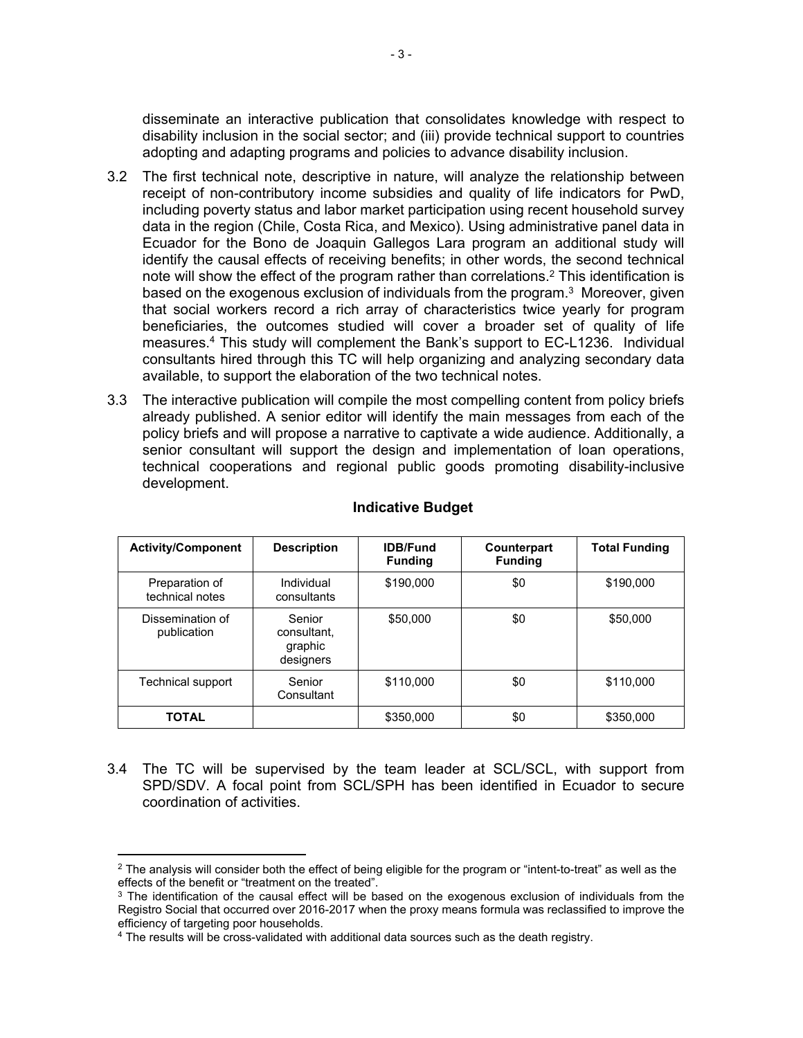disseminate an interactive publication that consolidates knowledge with respect to disability inclusion in the social sector; and (iii) provide technical support to countries adopting and adapting programs and policies to advance disability inclusion.

- 3.2 The first technical note, descriptive in nature, will analyze the relationship between receipt of non-contributory income subsidies and quality of life indicators for PwD, including poverty status and labor market participation using recent household survey data in the region (Chile, Costa Rica, and Mexico). Using administrative panel data in Ecuador for the Bono de Joaquin Gallegos Lara program an additional study will identify the causal effects of receiving benefits; in other words, the second technical note will show the effect of the program rather than correlations.<sup>2</sup> This identification is based on the exogenous exclusion of individuals from the program.<sup>3</sup> Moreover, given that social workers record a rich array of characteristics twice yearly for program beneficiaries, the outcomes studied will cover a broader set of quality of life measures.<sup>4</sup> This study will complement the Bank's support to EC-L1236. Individual consultants hired through this TC will help organizing and analyzing secondary data available, to support the elaboration of the two technical notes.
- 3.3 The interactive publication will compile the most compelling content from policy briefs already published. A senior editor will identify the main messages from each of the policy briefs and will propose a narrative to captivate a wide audience. Additionally, a senior consultant will support the design and implementation of loan operations, technical cooperations and regional public goods promoting disability-inclusive development.

| <b>Activity/Component</b>         | <b>Description</b>                            | <b>IDB/Fund</b><br><b>Funding</b> | Counterpart<br><b>Funding</b> | <b>Total Funding</b> |
|-----------------------------------|-----------------------------------------------|-----------------------------------|-------------------------------|----------------------|
| Preparation of<br>technical notes | Individual<br>consultants                     | \$190,000                         | \$0                           | \$190,000            |
| Dissemination of<br>publication   | Senior<br>consultant.<br>graphic<br>designers | \$50,000                          | \$0                           | \$50,000             |
| Technical support                 | Senior<br>Consultant                          | \$110,000                         | \$0                           | \$110,000            |
| <b>TOTAL</b>                      |                                               | \$350,000                         | \$0                           | \$350,000            |

#### **Indicative Budget**

3.4 The TC will be supervised by the team leader at SCL/SCL, with support from SPD/SDV. A focal point from SCL/SPH has been identified in Ecuador to secure coordination of activities.

 $^2$  The analysis will consider both the effect of being eligible for the program or "intent-to-treat" as well as the effects of the benefit or "treatment on the treated".

<sup>&</sup>lt;sup>3</sup> The identification of the causal effect will be based on the exogenous exclusion of individuals from the Registro Social that occurred over 2016-2017 when the proxy means formula was reclassified to improve the efficiency of targeting poor households.

<sup>4</sup> The results will be cross-validated with additional data sources such as the death registry.